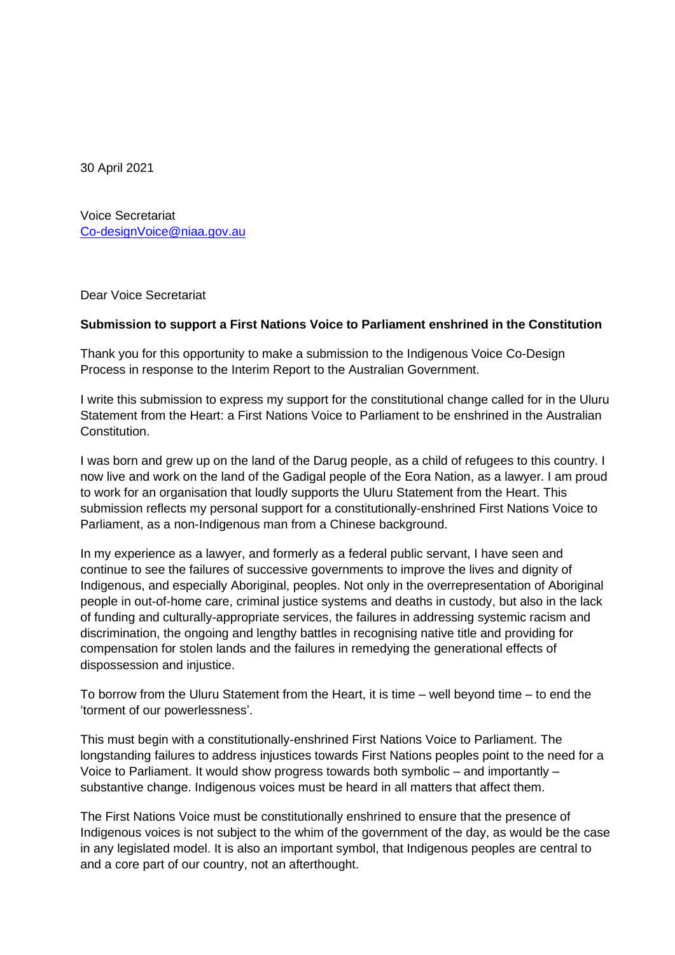30 April 2021

Voice Secretariat [Co-designVoice@niaa.gov.au](mailto:Co-designVoice@niaa.gov.au)

Dear Voice Secretariat

## **Submission to support a First Nations Voice to Parliament enshrined in the Constitution**

Thank you for this opportunity to make a submission to the Indigenous Voice Co-Design Process in response to the Interim Report to the Australian Government.

I write this submission to express my support for the constitutional change called for in the Uluru Statement from the Heart: a First Nations Voice to Parliament to be enshrined in the Australian **Constitution** 

I was born and grew up on the land of the Darug people, as a child of refugees to this country. I now live and work on the land of the Gadigal people of the Eora Nation, as a lawyer. I am proud to work for an organisation that loudly supports the Uluru Statement from the Heart. This submission reflects my personal support for a constitutionally-enshrined First Nations Voice to Parliament, as a non-Indigenous man from a Chinese background.

In my experience as a lawyer, and formerly as a federal public servant, I have seen and continue to see the failures of successive governments to improve the lives and dignity of Indigenous, and especially Aboriginal, peoples. Not only in the overrepresentation of Aboriginal people in out-of-home care, criminal justice systems and deaths in custody, but also in the lack of funding and culturally-appropriate services, the failures in addressing systemic racism and discrimination, the ongoing and lengthy battles in recognising native title and providing for compensation for stolen lands and the failures in remedying the generational effects of dispossession and injustice.

To borrow from the Uluru Statement from the Heart, it is time – well beyond time – to end the 'torment of our powerlessness'.

This must begin with a constitutionally-enshrined First Nations Voice to Parliament. The longstanding failures to address injustices towards First Nations peoples point to the need for a Voice to Parliament. It would show progress towards both symbolic – and importantly – substantive change. Indigenous voices must be heard in all matters that affect them.

The First Nations Voice must be constitutionally enshrined to ensure that the presence of Indigenous voices is not subject to the whim of the government of the day, as would be the case in any legislated model. It is also an important symbol, that Indigenous peoples are central to and a core part of our country, not an afterthought.